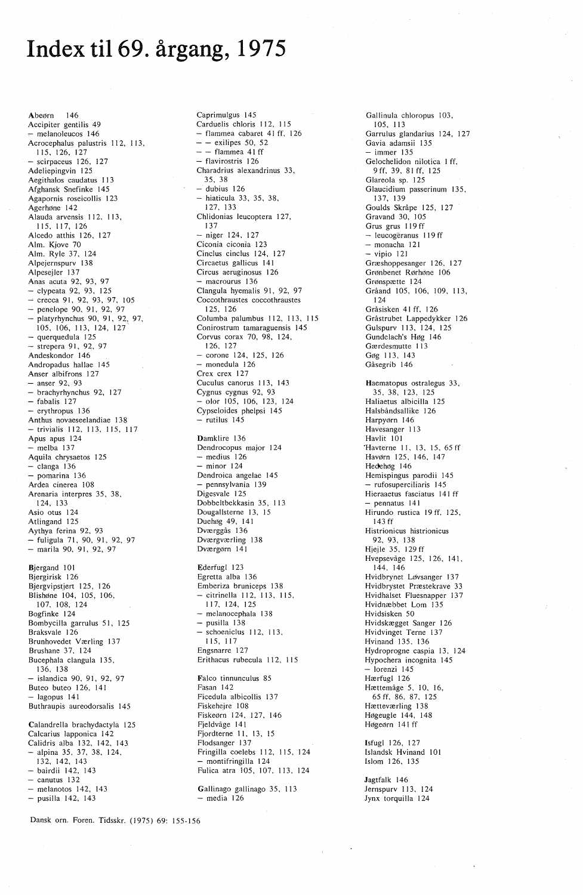## **Index til 69. årgang, 1975**

Abeørn 146 Accipiter gentilis 49 - melanoleucos 146 Acrocephalus palustris 112, 113, 115, 126, 127  $scirpaceus$  126, 127 Adeliepingvin 125 Aegithalos caudatus 113 Afghansk Snefinke 145 Agapornis roseicollis 123 Agerhøne 142 Alauda arvensis 112, 113,<br>115, 117, 126 Alcedo atthis 126, 127 Alm. Kjove 70 Alm. Ryle 37, 124 Alpejernspurv 13 8 Alpesejler 137 Anas acuta 92, 93, 97  $-$  clypeata 92, 93, 125 → crecca 91, 92, 93, 97, 105<br>→ penelope 90, 91, 92, 97 - platyrhynchus 90, 91, 92, 97, 105, 106, 113, 124, 127' - querquedula 125 - strepera 91, 92, 97 Andeskondor 146 Andropadus hallae 145 Anser albifrons 127  $-$  anser 92, 93 - brachyrhynchus 92, 127  $-$  fabalis 127 erythropus 136 Anthus novaeseelandiae 13 8 - trivialis 112, 113, 115, 117 Apus apus 124 - melba 137 Aquila chrysaetos 125  $-$  clanga 136  $-$  pomarina 136 Ardea cinerea 108 Arenaria interpres 35, 38, 124, 133 Asio otus 124 Atlingand 125 Aythya ferina 92, 93 - fuligula 71, 90, 91, 92, 97 - marila 90, 91, 92, 97 Bjergand 101 Bjergirisk 126 Bjergvipstjert 125, 126 Blishøne 104, 105, 106, 107, 108, 124 Bogfinke 124 Bombycilla garrulus 51, 125 Braksvale 126 Brunhovedet Værling 137 Brushane 37, 124 Bucephala clangula 135, 136, 138 - islandica 90, 91, 92, 97 Buteo buteo 126, 141 - lagopus 141 Buthraupis aureodorsalis 145 Calandrella brachydactyla 125 Calcarius lapponica 142 Calidris alba 132, 142, 143 - alpina 35, 37, 38, 124. 132, 142, 143 - bairdii 142, 143  $-$  canutus 132 - melanotos 142, 143

- pusilla 142, 143

Caprimulgus 145 Carduelis chloris 112, 115 - flammea cabaret 41 ff, 126  $-$  - exilipes 50, 52  $-$  - flammea 41 ff - flavirostris 126 Charadrius alexandrinus 33, 35, 38  $-$  dubius 126  $-$  hiaticula 33, 35, 38, 127. 133 Chlidonias leucoptera 127, 137  $-$  niger 124, 127 Ciconia ciconia 123 Cinclus cinclus 124, 127 Circaetus gallicus 141 Circus aeruginosus I 26 - macrourus 136 Clangula hyemalis 91, 92, 97 Coccothraustes coccothraustes 125, 126 Columba palumbus 112, 113, 115 Conirostrum tamaraguensis 145 Corvus corax 70, 98, 124, 126, 127  $-$  corone 124, 125, 126 - monedula 126 Crex crex 127 Cuculus canorus 113, 143 Cygnus cygnus 92, 93  $-$  olor 105, 106, 123, 124 Cypseloides phelpsi 145 - rutilus 145 Damklire 136 Dendrocopus major 124  $-$  medius  $126$ - minor 124 Dendroica angelae 145 - pennsylvania 139 Digesvale 125 Dobbeltbekkasin 35, 113 Dougallsterne 13, 15 Duehøg 49, 141 Dværggås 136 Dværgværling 138 Dværgørn 141 Ederfugl 123 Egretta alba 136 Emberiza bruniceps 138

- citrinella 112, 113, 115, 117,124,125 - melanocephala 138  $-$  pusilla  $138$  $-$  schoeniclus 112, 113, 115, 117 Engsnarre 127 Erithacus rubecula 112, 115 Falco tinnunculus 85 Fasan 142 Ficedula albicollis 137 Fiskehejre I 08 Fiskeørn 124, 127, 146 Fjeldvåge 141 Fjordterne 11, 13, 15 Flodsanger 137 Fringilla coelebs 112, 115. 124 - montifringilla 124 Fulica atra 105, 107, 113, 124

Gallinago gallinago 35, 113  $-$  media 126

Gallinula chloropus 103, 105, 113 Garrulus glandarius 124, 127 Gavia adamsii 135 - immer 135 Gelochelidon nilotica I ff, 9ff, 39, 81 ff, 125 Glareola sp. 125 Glaucidium passerinum 135, 137, 139 Goulds Skråpe 125, 127 Gravand 30, 105 Grus grus 119 ff - leucogéranus 119 ff - monacha 121  $-$  vipio 121 Græshoppesanger 126, 127 Grønbenet Rørhøne 106 Grønspætte 124 Gråand 105, 106, 109, 113, 124 Gråsisken 41 ff, 126 Gråstrubet Lappedykker 126 Gulspurv 113, 124, 125 Gundelach's Høg 146 Gærdesmutte 113 Gøg 113, 143 Gåsegrib 146 Haematopus ostralegus 33, 35, 38, 123, 125 Haliaetus albicilla 125 Halsbåndsallike 126 Harpyørn 146 Havesanger I 13 Havlit 101 'Havterne 11, 13, 15, 65 ff Havørn 125, 146, 147 Hedehøg 146 Hemispingus parodii 145 - rufosuperciliaris 145 Hieraaetus fasciatus 141 ff - pennatus 141 Hirundo rustica 19 ff, 125, 143 ff Histrionicus histrionicus 92, 93, 138 Hjejle 35, 129 ff Hvepsevåge 125, 126, 141, 144, 146 Hvidbrynet Løvsanger 13 7 Hvidbrystet Præstekrave 33 Hvidhalset Fluesnapper 137 Hvidnæbbet Lom 135 Hvidsisken 50 Hvidskægget Sanger 126 Hvidvinget Terne 137 Hvinand 135. 136 Hydroprogne caspia 13, 124 Hypochera incognita 145  $-$  lorenzi 145 Hærfugl 126 Hættemåge 5, 10, 16, 65 ff, 86, 87. 125 Hætteværling 138 Høgeugle 144, 148 Høgeørn 141 ff Isfugl 126, 127

lslandsk Hvinand 101 Islom 126, 135

Jagtfalk 146 Jernspurv 113, 124 Jynx torquilla 124

Danskorn. Foren. Tidsskr. (1975) 69: 155-156